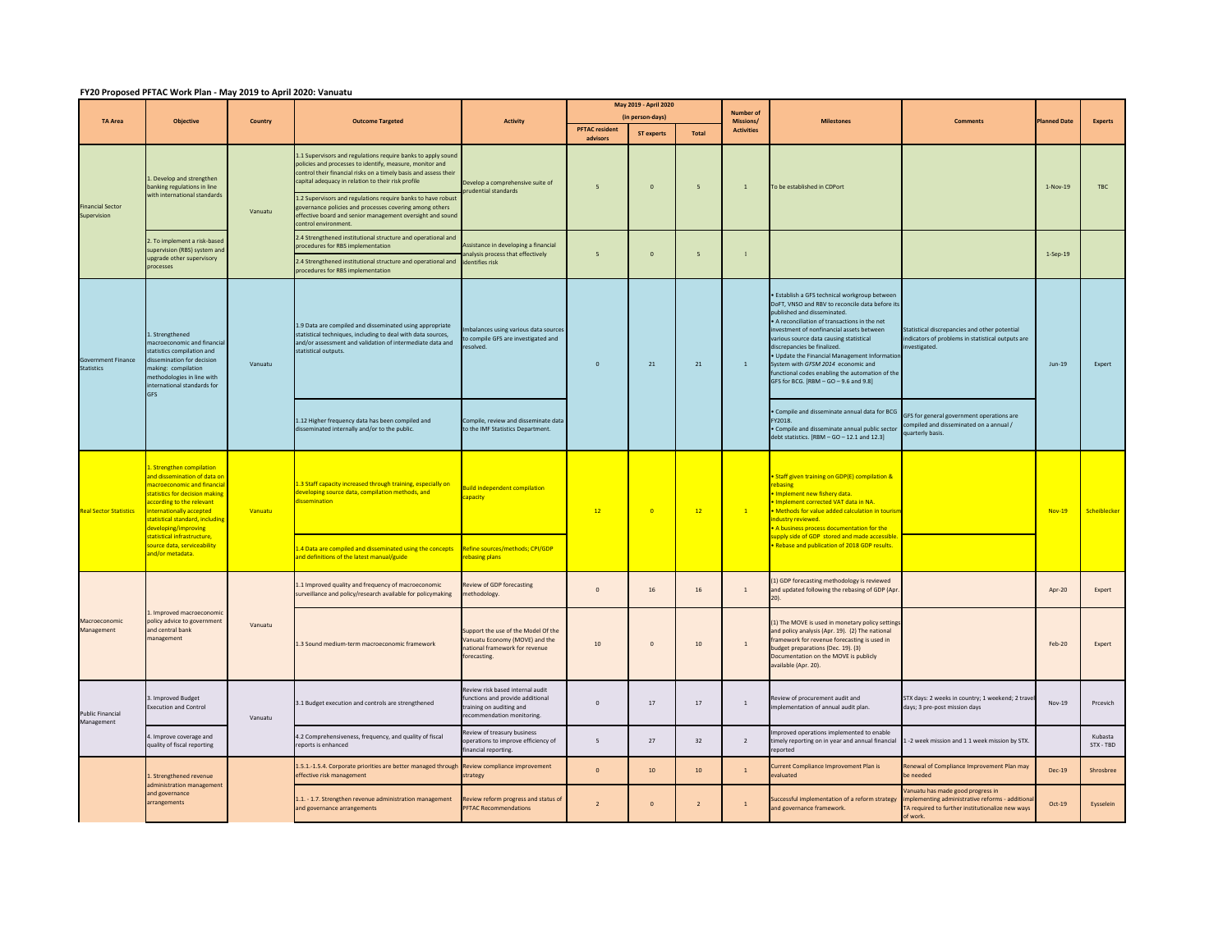## **FY20 Proposed PFTAC Work Plan ‐ May 2019 to April 2020: Vanuatu**

| <b>TA Area</b>                                 | <b>Objective</b>                                                                                                                                                                                                                                                                                                               | Country | <b>Outcome Targeted</b>                                                                                                                                                                                                                                                                                                                                                                                                                                          | <b>Activity</b>                                                                                                              | May 2019 - April 2020<br>(in person-days) |                   |                          | <b>Number of</b>               |                                                                                                                                                                                                                                                                                                                                                                                                                                                                                          |                                                                                                                                                    |                    |                      |
|------------------------------------------------|--------------------------------------------------------------------------------------------------------------------------------------------------------------------------------------------------------------------------------------------------------------------------------------------------------------------------------|---------|------------------------------------------------------------------------------------------------------------------------------------------------------------------------------------------------------------------------------------------------------------------------------------------------------------------------------------------------------------------------------------------------------------------------------------------------------------------|------------------------------------------------------------------------------------------------------------------------------|-------------------------------------------|-------------------|--------------------------|--------------------------------|------------------------------------------------------------------------------------------------------------------------------------------------------------------------------------------------------------------------------------------------------------------------------------------------------------------------------------------------------------------------------------------------------------------------------------------------------------------------------------------|----------------------------------------------------------------------------------------------------------------------------------------------------|--------------------|----------------------|
|                                                |                                                                                                                                                                                                                                                                                                                                |         |                                                                                                                                                                                                                                                                                                                                                                                                                                                                  |                                                                                                                              | <b>PFTAC</b> resident<br>advisors         | <b>ST experts</b> | <b>Total</b>             | Missions/<br><b>Activities</b> | <b>Milestones</b>                                                                                                                                                                                                                                                                                                                                                                                                                                                                        | <b>Comments</b>                                                                                                                                    | <b>Janned Date</b> | <b>Experts</b>       |
| <b>Financial Sector</b><br>Supervision         | . Develop and strengthen<br>banking regulations in line<br>with international standards                                                                                                                                                                                                                                        | Vanuatu | 1.1 Supervisors and regulations require banks to apply sound<br>policies and processes to identify, measure, monitor and<br>ontrol their financial risks on a timely basis and assess their<br>capital adequacy in relation to their risk profile<br>1.2 Supervisors and regulations require banks to have robus<br>governance policies and processes covering among others<br>effective board and senior management oversight and sound<br>control environment. | Develop a comprehensive suite of<br>rudential standards                                                                      | $\overline{5}$                            | $\mathfrak o$     | $\overline{\phantom{a}}$ | $\overline{1}$                 | To be established in CDPort                                                                                                                                                                                                                                                                                                                                                                                                                                                              |                                                                                                                                                    | 1-Nov-19           | TBC                  |
|                                                | . To implement a risk-based<br>supervision (RBS) system and<br>upgrade other supervisory                                                                                                                                                                                                                                       |         | 2.4 Strengthened institutional structure and operational and<br>procedures for RBS implementation<br>2.4 Strengthened institutional structure and operational and identifies risk                                                                                                                                                                                                                                                                                | Assistance in developing a financial<br>analysis process that effectively                                                    | $\overline{5}$                            | $\mathbf{0}$      | $\overline{5}$           | $\overline{1}$                 |                                                                                                                                                                                                                                                                                                                                                                                                                                                                                          |                                                                                                                                                    | $1-Sep-19$         |                      |
|                                                | processes                                                                                                                                                                                                                                                                                                                      |         | procedures for RBS implementation                                                                                                                                                                                                                                                                                                                                                                                                                                |                                                                                                                              |                                           |                   |                          |                                |                                                                                                                                                                                                                                                                                                                                                                                                                                                                                          |                                                                                                                                                    |                    |                      |
| <b>Government Finance</b><br><b>Statistics</b> | L. Strengthened<br>macroeconomic and financia<br>statistics compilation and<br>dissemination for decision<br>making: compilation<br>nethodologies in line with<br>international standards for<br><b>GFS</b>                                                                                                                    | Vanuatu | 1.9 Data are compiled and disseminated using appropriate<br>statistical techniques, including to deal with data sources,<br>and/or assessment and validation of intermediate data and<br>statistical outputs.                                                                                                                                                                                                                                                    | mbalances using various data sources<br>o compile GFS are investigated and<br>esolved.                                       | $\overline{0}$                            | 21                | 21                       | $\mathbf{1}$                   | · Establish a GFS technical workgroup between<br>DoFT, VNSO and RBV to reconcile data before its<br>published and disseminated.<br>. A reconciliation of transactions in the net<br>investment of nonfinancial assets between<br>various source data causing statistical<br>discrepancies be finalized.<br>. Update the Financial Management Informatio<br>System with GFSM 2014 economic and<br>unctional codes enabling the automation of the<br>GFS for BCG. [RBM - GO - 9.6 and 9.8] | Statistical discrepancies and other potential<br>ndicators of problems in statistical outputs are<br>westigated.                                   | $Jun-19$           | Expert               |
|                                                |                                                                                                                                                                                                                                                                                                                                |         | 1.12 Higher frequency data has been compiled and<br>isseminated internally and/or to the public.                                                                                                                                                                                                                                                                                                                                                                 | Compile, review and disseminate data<br>to the IMF Statistics Department.                                                    |                                           |                   |                          |                                | Compile and disseminate annual data for BCG<br>FY2018.<br>· Compile and disseminate annual public sector<br>debt statistics. $[RBM - GO - 12.1$ and $12.3]$                                                                                                                                                                                                                                                                                                                              | GFS for general government operations are<br>mpiled and disseminated on a annual /<br>arterly basis.                                               |                    |                      |
| <b>Real Sector Statistics</b>                  | L. Strengthen compilation<br>and dissemination of data or<br>nacroeconomic and financia<br>tatistics for decision making<br>according to the relevant<br>internationally accepted<br>statistical standard, including<br>leveloping/improving<br>statistical infrastructure.<br>source data, serviceability<br>and/or metadata. | Vanuatu | .3 Staff capacity increased through training, especially on<br>leveloping source data, compilation methods, and<br><b>lissemination</b>                                                                                                                                                                                                                                                                                                                          | <b>Build independent compilation</b><br>apacity                                                                              | 12                                        | $\bullet$         | 12                       | $\mathbf{1}$                   | Staff given training on GDP(E) compilation &<br>ebasing<br>Implement new fishery data.<br>Implement corrected VAT data in NA.<br>. Methods for value added calculation in tourist<br>ndustry reviewed.<br>A business process documentation for the<br>upply side of GDP stored and made accessible<br>Rebase and publication of 2018 GDP results.                                                                                                                                        |                                                                                                                                                    | <b>Nov-19</b>      | Scheiblecker         |
|                                                |                                                                                                                                                                                                                                                                                                                                |         | .4 Data are compiled and disseminated using the concepts Refine sources/methods; CPI/GDP<br>nd definitions of the latest manual/guide                                                                                                                                                                                                                                                                                                                            | ebasing plans                                                                                                                |                                           |                   |                          |                                |                                                                                                                                                                                                                                                                                                                                                                                                                                                                                          |                                                                                                                                                    |                    |                      |
| Macroeconomic<br>Management                    | Improved macroeconomic<br>policy advice to government<br>and central bank<br>management                                                                                                                                                                                                                                        | Vanuatu | 1.1 Improved quality and frequency of macroeconomic<br>surveillance and policy/research available for policymaking                                                                                                                                                                                                                                                                                                                                               | eview of GDP forecasting<br>methodology.                                                                                     | $\circ$                                   | 16 <sup>1</sup>   | 16                       | $\overline{1}$                 | 1) GDP forecasting methodology is reviewed<br>and updated following the rebasing of GDP (Apr.                                                                                                                                                                                                                                                                                                                                                                                            |                                                                                                                                                    | Apr-20             | Expert               |
|                                                |                                                                                                                                                                                                                                                                                                                                |         | 1.3 Sound medium-term macroeconomic framework                                                                                                                                                                                                                                                                                                                                                                                                                    | Support the use of the Model Of the<br>anuatu Economy (MOVE) and the<br>ational framework for revenue<br>forecasting.        | 10                                        | $\mathbf 0$       | 10                       | $\,$ 1                         | (1) The MOVE is used in monetary policy settings<br>and policy analysis (Apr. 19). (2) The national<br>framework for revenue forecasting is used in<br>budget preparations (Dec. 19). (3)<br>Documentation on the MOVE is publicly<br>available (Apr. 20).                                                                                                                                                                                                                               |                                                                                                                                                    | <b>Feb-20</b>      | Expert               |
| <b>Public Financial</b><br>Management          | 3. Improved Budget<br>xecution and Control                                                                                                                                                                                                                                                                                     | Vanuatu | 3.1 Budget execution and controls are strengthened                                                                                                                                                                                                                                                                                                                                                                                                               | Review risk based internal audit<br>functions and provide additional<br>raining on auditing and<br>ecommendation monitoring. | $\Omega$                                  | $17\,$            | $17\,$                   | $\,$ 1 $\,$                    | Review of procurement audit and<br>mplementation of annual audit plan.                                                                                                                                                                                                                                                                                                                                                                                                                   | STX days: 2 weeks in country; 1 weekend; 2 trave<br>days; 3 pre-post mission days                                                                  | Nov-19             | Prcevich             |
|                                                | . Improve coverage and<br>quality of fiscal reporting                                                                                                                                                                                                                                                                          |         | 4.2 Comprehensiveness, frequency, and quality of fiscal<br>eports is enhanced                                                                                                                                                                                                                                                                                                                                                                                    | Review of treasury business<br>perations to improve efficiency of<br>financial reporting.                                    | 5 <sub>5</sub>                            | 27                | 32                       | $\overline{2}$                 | mproved operations implemented to enable<br>imely reporting on in year and annual financial<br>reported                                                                                                                                                                                                                                                                                                                                                                                  | 1 -2 week mission and 1 1 week mission by STX.                                                                                                     |                    | Kubasta<br>STX - TBD |
|                                                | Strengthened revenue<br>dministration management<br>and governance<br>arrangements                                                                                                                                                                                                                                             |         | 1.5.1.-1.5.4. Corporate priorities are better managed through Review compliance improvement<br>ffective risk management                                                                                                                                                                                                                                                                                                                                          | trategy                                                                                                                      | $\Omega$                                  | 10 <sup>°</sup>   | 10 <sub>10</sub>         | $\mathbf{1}$                   | Current Compliance Improvement Plan is<br>valuated                                                                                                                                                                                                                                                                                                                                                                                                                                       | Renewal of Compliance Improvement Plan may<br>be needed                                                                                            | Dec-19             | Shrosbree            |
|                                                |                                                                                                                                                                                                                                                                                                                                |         | 1.1. - 1.7. Strengthen revenue administration management<br>and governance arrangements                                                                                                                                                                                                                                                                                                                                                                          | Review reform progress and status of<br><b>PFTAC Recommendations</b>                                                         | $\overline{z}$                            | $\overline{0}$    | $\overline{2}$           | $\mathbf{1}$                   | successful implementation of a reform strategy<br>and governance framework.                                                                                                                                                                                                                                                                                                                                                                                                              | Vanuatu has made good progress in<br>mplementing administrative reforms - addition<br>TA required to further institutionalize new ways<br>of work. | $Oct-19$           | Eysselein            |